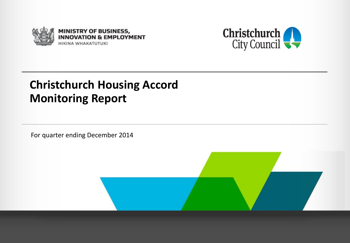



#### **Christchurch Housing Accord Monitoring Report**

For quarter ending December 2014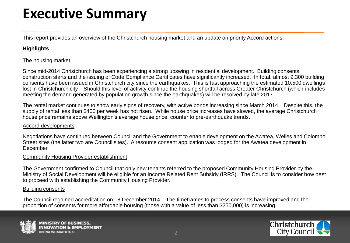### **Executive Summary**

This report provides an overview of the Christchurch housing market and an update on priority Accord actions.

#### **Highlights**

#### The housing market

Since mid-2014 Christchurch has been experiencing a strong upswing in residential development. Building consents, construction starts and the issuing of Code Compliance Certificates have significantly increased. In total, almost 9,300 building consents have been issued in Christchurch city since the earthquakes. This is fast approaching the estimated 10,500 dwellings lost in Christchurch city. Should this level of activity continue the housing shortfall across Greater Christchurch (which includes meeting the demand generated by population growth since the earthquakes) will be resolved by late 2017.

The rental market continues to show early signs of recovery, with active bonds increasing since March 2014. Despite this, the supply of rental less than \$400 per week has not risen. While house price increases have slowed, the average Christchurch house price remains above Wellington's average house price, counter to pre-earthquake trends.

#### Accord developments

Negotiations have continued between Council and the Government to enable development on the Awatea, Welles and Colombo Street sites (the latter two are Council sites). A resource consent application was lodged for the Awatea development in December.

#### Community Housing Provider establishment

The Government confirmed to Council that only new tenants referred to the proposed Community Housing Provider by the Ministry of Social Development will be eligible for an Income Related Rent Subsidy (IRRS). The Council is to consider how best to proceed with establishing the Community Housing Provider.

#### Building consents

The Council regained accreditation on 18 December 2014. The timeframes to process consents have improved and the proportion of consents for more affordable housing (those with a value of less than \$250,000) is increasing.



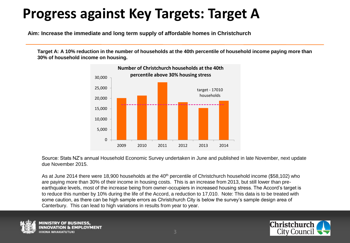### **Progress against Key Targets: Target A**

**Aim: Increase the immediate and long term supply of affordable homes in Christchurch**

**Target A: A 10% reduction in the number of households at the 40th percentile of household income paying more than 30% of household income on housing.** 



Source: Stats NZ's annual Household Economic Survey undertaken in June and published in late November, next update due November 2015.

As at June 2014 there were 18,900 households at the 40<sup>th</sup> percentile of Christchurch household income (\$58,102) who are paying more than 30% of their income in housing costs. This is an increase from 2013, but still lower than preearthquake levels, most of the increase being from owner-occupiers in increased housing stress. The Accord's target is to reduce this number by 10% during the life of the Accord, a reduction to 17,010. Note: This data is to be treated with some caution, as there can be high sample errors as Christchurch City is below the survey's sample design area of Canterbury. This can lead to high variations in results from year to year.



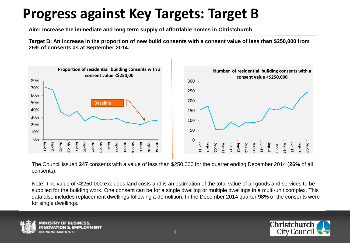### **Progress against Key Targets: Target B**

**Aim: Increase the immediate and long term supply of affordable homes in Christchurch**

**Target B: An increase in the proportion of new build consents with a consent value of less than \$250,000 from 25% of consents as at September 2014.** 



 The Council issued **247** consents with a value of less than \$250,000 for the quarter ending December 2014 (**26%** of all consents).

Note: The value of <\$250,000 excludes land costs and is an estimation of the total value of all goods and services to be supplied for the building work. One consent can be for a single dwelling or multiple dwellings in a multi-unit complex. This data also includes replacement dwellings following a demolition. In the December 2014 quarter **98%** of the consents were for single dwellings.



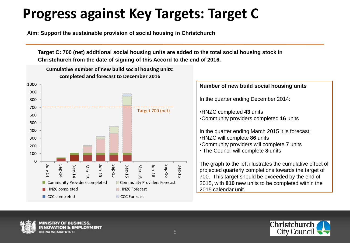### **Progress against Key Targets: Target C**

**Aim: Support the sustainable provision of social housing in Christchurch**

**Target C: 700 (net) additional social housing units are added to the total social housing stock in Christchurch from the date of signing of this Accord to the end of 2016.**



#### **Number of new build social housing units**

In the quarter ending December 2014:

•HNZC completed **43** units •Community providers completed **16** units

In the quarter ending March 2015 it is forecast: •HNZC will complete **86** units •Community providers will complete **7** units • The Council will complete **8** units

The graph to the left illustrates the cumulative effect of projected quarterly completions towards the target of 700. This target should be exceeded by the end of 2015, with **810** new units to be completed within the 2015 calendar unit.



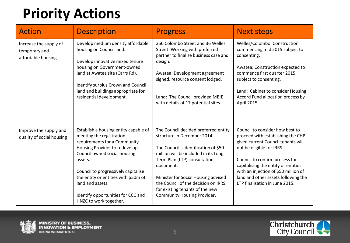# **Priority Actions**

| <b>Action</b>                                                 | <b>Description</b>                                                                                                                                                                                                                                                                                                                               | <b>Progress</b>                                                                                                                                                                                                                                                                                                                                         | <b>Next steps</b>                                                                                                                                                                                                                                                                                                                 |
|---------------------------------------------------------------|--------------------------------------------------------------------------------------------------------------------------------------------------------------------------------------------------------------------------------------------------------------------------------------------------------------------------------------------------|---------------------------------------------------------------------------------------------------------------------------------------------------------------------------------------------------------------------------------------------------------------------------------------------------------------------------------------------------------|-----------------------------------------------------------------------------------------------------------------------------------------------------------------------------------------------------------------------------------------------------------------------------------------------------------------------------------|
| Increase the supply of<br>temporary and<br>affordable housing | Develop medium density affordable<br>housing on Council land.<br>Develop innovative mixed tenure<br>housing on Government-owned<br>land at Awatea site (Carrs Rd).<br>Identify surplus Crown and Council<br>land and buildings appropriate for<br>residential development.                                                                       | 350 Colombo Street and 36 Welles<br>Street: Working with preferred<br>partner to finalise business case and<br>design.<br>Awatea: Development agreement<br>signed, resource consent lodged.<br>Land: The Council provided MBIE<br>with details of 17 potential sites.                                                                                   | Welles/Colombo: Construction<br>commencing mid 2015 subject to<br>consenting.<br>Awatea: Construction expected to<br>commence first quarter 2015<br>subject to consenting.<br>Land: Cabinet to consider Housing<br>Accord Fund allocation process by<br>April 2015.                                                               |
| Improve the supply and<br>quality of social housing           | Establish a housing entity capable of<br>meeting the registration<br>requirements for a Community<br>Housing Provider to redevelop<br>Council owned social housing<br>assets.<br>Council to progressively capitalise<br>the entity or entities with \$50m of<br>land and assets.<br>Identify opportunities for CCC and<br>HNZC to work together. | The Council decided preferred entity<br>structure in December 2014.<br>The Council's identification of \$50<br>million will be included in its Long<br>Term Plan (LTP) consultation<br>document.<br>Minister for Social Housing advised<br>the Council of the decision on IRRS<br>for existing tenants of the new<br><b>Community Housing Provider.</b> | Council to consider how best to<br>proceed with establishing the CHP<br>given current Council tenants will<br>not be eligible for IRRS.<br>Council to confirm process for<br>capitalising the entity or entities<br>with an injection of \$50 million of<br>land and other assets following the<br>LTP finalisation in June 2015. |



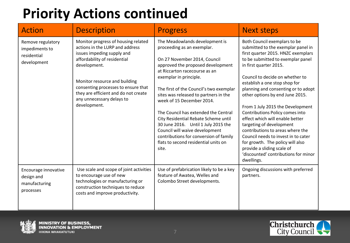### **Priority Actions continued**

| <b>Action</b>                                                     | <b>Description</b>                                                                                                                                                                                                                                                                                                | <b>Progress</b>                                                                                                                                                                                                                                                                                                                                                                                                                                                                                                                                                   | <b>Next steps</b>                                                                                                                                                                                                                                                                                                                                                                                                                                                                                                                                                                                                                                              |
|-------------------------------------------------------------------|-------------------------------------------------------------------------------------------------------------------------------------------------------------------------------------------------------------------------------------------------------------------------------------------------------------------|-------------------------------------------------------------------------------------------------------------------------------------------------------------------------------------------------------------------------------------------------------------------------------------------------------------------------------------------------------------------------------------------------------------------------------------------------------------------------------------------------------------------------------------------------------------------|----------------------------------------------------------------------------------------------------------------------------------------------------------------------------------------------------------------------------------------------------------------------------------------------------------------------------------------------------------------------------------------------------------------------------------------------------------------------------------------------------------------------------------------------------------------------------------------------------------------------------------------------------------------|
| Remove regulatory<br>impediments to<br>residential<br>development | Monitor progress of housing related<br>actions in the LURP and address<br>issues impeding supply and<br>affordability of residential<br>development.<br>Monitor resource and building<br>consenting processes to ensure that<br>they are efficient and do not create<br>any unnecessary delays to<br>development. | The Meadowlands development is<br>proceeding as an exemplar.<br>On 27 November 2014, Council<br>approved the proposed development<br>at Riccarton racecourse as an<br>exemplar in principle.<br>The first of the Council's two exemplar<br>sites was released to partners in the<br>week of 15 December 2014.<br>The Council has extended the Central<br>City Residential Rebate Scheme until<br>30 June 2016. Until 1 July 2015 the<br>Council will waive development<br>contributions for conversion of family<br>flats to second residential units on<br>site. | Both Council exemplars to be<br>submitted to the exemplar panel in<br>first quarter 2015. HNZC exemplars<br>to be submitted to exemplar panel<br>in first quarter 2015.<br>Council to decide on whether to<br>establish a one stop shop for<br>planning and consenting or to adopt<br>other options by end June 2015.<br>From 1 July 2015 the Development<br>Contributions Policy comes into<br>effect which will enable better<br>targeting of development<br>contributions to areas where the<br>Council needs to invest in to cater<br>for growth. The policy will also<br>provide a sliding scale of<br>'discounted' contributions for minor<br>dwellings. |
| Encourage innovative<br>design and<br>manufacturing<br>processes  | Use scale and scope of joint activities<br>to encourage use of new<br>technologies or manufacturing or<br>construction techniques to reduce<br>costs and improve productivity.                                                                                                                                    | Use of prefabrication likely to be a key<br>feature of Awatea, Welles and<br>Colombo Street developments.                                                                                                                                                                                                                                                                                                                                                                                                                                                         | Ongoing discussions with preferred<br>partners.                                                                                                                                                                                                                                                                                                                                                                                                                                                                                                                                                                                                                |



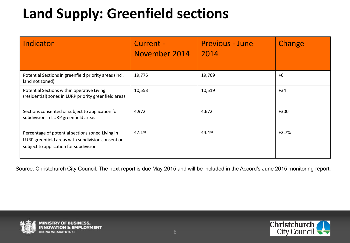### **Land Supply: Greenfield sections**

| Indicator                                                                                                                                       | Current -<br>November 2014 | <b>Previous - June</b><br>2014 | Change  |
|-------------------------------------------------------------------------------------------------------------------------------------------------|----------------------------|--------------------------------|---------|
| Potential Sections in greenfield priority areas (incl.<br>land not zoned)                                                                       | 19,775                     | 19,769                         | $+6$    |
| Potential Sections within operative Living<br>(residential) zones in LURP priority greenfield areas                                             | 10,553                     | 10,519                         | $+34$   |
| Sections consented or subject to application for<br>subdivision in LURP greenfield areas                                                        | 4,972                      | 4,672                          | $+300$  |
| Percentage of potential sections zoned Living in<br>LURP greenfield areas with subdivision consent or<br>subject to application for subdivision | 47.1%                      | 44.4%                          | $+2.7%$ |

Source: Christchurch City Council. The next report is due May 2015 and will be included in the Accord's June 2015 monitoring report.



**PLOYMENT** 

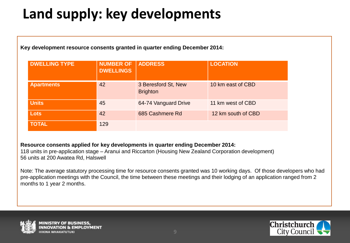## **Land supply: key developments**

**Key development resource consents granted in quarter ending December 2014:**

| <b>DWELLING TYPE</b> | <b>NUMBER OF</b><br><b>DWELLINGS</b> | <b>ADDRESS</b>                         | <b>LOCATION</b>    |
|----------------------|--------------------------------------|----------------------------------------|--------------------|
| <b>Apartments</b>    | 42                                   | 3 Beresford St, New<br><b>Brighton</b> | 10 km east of CBD  |
| <b>Units</b>         | 45                                   | 64-74 Vanguard Drive                   | 11 km west of CBD  |
| <b>Lots</b>          | 42                                   | 685 Cashmere Rd                        | 12 km south of CBD |
| <b>TOTAL</b>         | 129                                  |                                        |                    |

**Resource consents applied for key developments in quarter ending December 2014:** 

118 units in pre-application stage – Aranui and Riccarton (Housing New Zealand Corporation development) 56 units at 200 Awatea Rd, Halswell

Note: The average statutory processing time for resource consents granted was 10 working days. Of those developers who had pre-application meetings with the Council, the time between these meetings and their lodging of an application ranged from 2 months to 1 year 2 months.



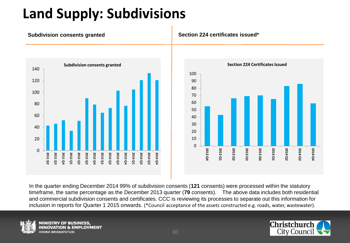### **Land Supply: Subdivisions**



#### **Subdivision consents granted Section 224 certificates issued\***



In the quarter ending December 2014 99% of subdivision consents (**121** consents) were processed within the statutory timeframe, the same percentage as the December 2013 quarter (**79** consents). The above data includes both residential and commercial subdivision consents and certificates. CCC is reviewing its processes to separate out this information for inclusion in reports for Quarter 1 2015 onwards. (\*Council acceptance of the assets constructed e.g. roads, water, wastewater).



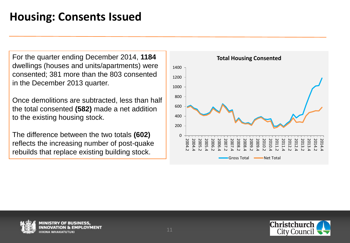#### **Housing: Consents Issued**

For the quarter ending December 2014, **1184** dwellings (houses and units/apartments) were consented; 381 more than the 803 consented in the December 2013 quarter.

Once demolitions are subtracted, less than half the total consented **(582)** made a net addition to the existing housing stock.

The difference between the two totals **(602)**  reflects the increasing number of post-quake rebuilds that replace existing building stock.





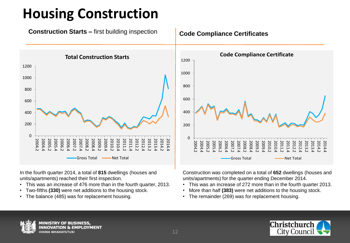### **Housing Construction**





In the fourth quarter 2014, a total of **815** dwellings (houses and units/apartments) reached their first inspection.

- This was an increase of 476 more than in the fourth quarter, 2013.
- Two-fifths **(330)** were net additions to the housing stock.
- The balance (485) was for replacement housing.



Construction was completed on a total of **652** dwellings (houses and units/apartments) for the quarter ending December 2014.

- This was an increase of 272 more than in the fourth quarter 2013.
- More than half **(383)** were net additions to the housing stock.
- The remainder (269) was for replacement housing.



MINISTRY OF BUSINESS

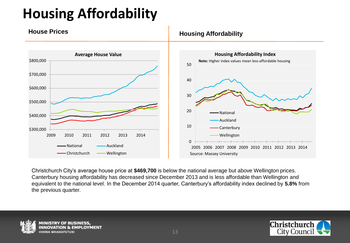# **Housing Affordability**



Christchurch City's average house price at **\$469,700** is below the national average but above Wellington prices. Canterbury housing affordability has decreased since December 2013 and is less affordable than Wellington and equivalent to the national level. In the December 2014 quarter, Canterbury's affordability index declined by **5.8%** from the previous quarter.





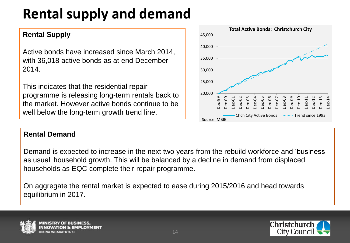# **Rental supply and demand**

#### **Rental Supply**

Active bonds have increased since March 2014, with 36,018 active bonds as at end December 2014.

This indicates that the residential repair programme is releasing long-term rentals back to the market. However active bonds continue to be well below the long-term growth trend line.

#### **Rental Demand**

Demand is expected to increase in the next two years from the rebuild workforce and 'business as usual' household growth. This will be balanced by a decline in demand from displaced households as EQC complete their repair programme.

On aggregate the rental market is expected to ease during 2015/2016 and head towards equilibrium in 2017.





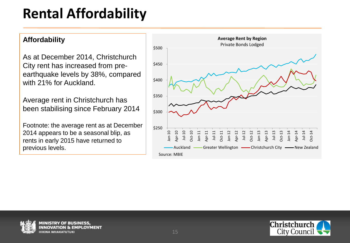### **Rental Affordability**

#### **Affordability**

As at December 2014, Christchurch City rent has increased from preearthquake levels by 38%, compared with 21% for Auckland.

Average rent in Christchurch has been stabilising since February 2014

Footnote: the average rent as at December 2014 appears to be a seasonal blip, as rents in early 2015 have returned to previous levels.





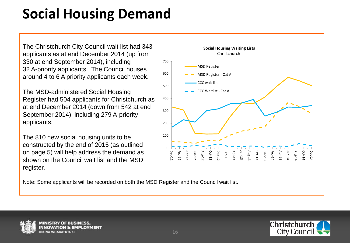### **Social Housing Demand**

The Christchurch City Council wait list had 343 applicants as at end December 2014 (up from 330 at end September 2014), including 32 A-priority applicants. The Council houses around 4 to 6 A priority applicants each week.

The MSD-administered Social Housing Register had 504 applicants for Christchurch as at end December 2014 (down from 542 at end September 2014), including 279 A-priority applicants.

The 810 new social housing units to be constructed by the end of 2015 (as outlined on page 5) will help address the demand as shown on the Council wait list and the MSD register.

 $\Omega$ 100 200 300 400 500 600 700 Dec-11 Feb-12 Apr-12 Jun-12 Aug-12 Oct-12 Dec-12 Feb-13 Apr-13 Jun-13 Aug-13 Oct-13 Dec-13 Feb-14 Apr-14 Jun-14 Aug-1<sup>,</sup> Oct-14 Dec-14 **Social Housing Waiting Lists Christchurch** MSD Register MSD Register - Cat A CCC wait list CCC Waitlist - Cat A

Note: Some applicants will be recorded on both the MSD Register and the Council wait list.